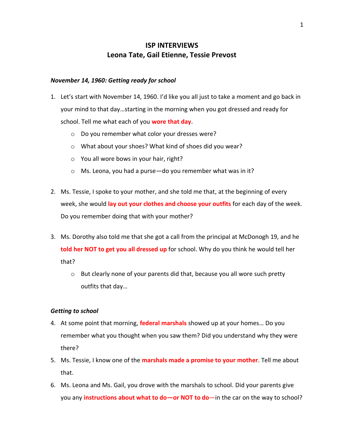# **ISP INTERVIEWS Leona Tate, Gail Etienne, Tessie Prevost**

# *November 14, 1960: Getting ready for school*

- 1. Let's start with November 14, 1960. I'd like you all just to take a moment and go back in your mind to that day…starting in the morning when you got dressed and ready for school. Tell me what each of you **wore that day.**
	- o Do you remember what color your dresses were?
	- o What about your shoes? What kind of shoes did you wear?
	- o You all wore bows in your hair, right?
	- o Ms. Leona, you had a purse—do you remember what was in it?
- 2. Ms. Tessie, I spoke to your mother, and she told me that, at the beginning of every week, she would **lay out your clothes and choose your outfits** for each day of the week. Do you remember doing that with your mother?
- 3. Ms. Dorothy also told me that she got a call from the principal at McDonogh 19, and he **told her NOT to get you all dressed up** for school. Why do you think he would tell her that?
	- $\circ$  But clearly none of your parents did that, because you all wore such pretty outfits that day…

#### *Getting to school*

- 4. At some point that morning, **federal marshals** showed up at your homes… Do you remember what you thought when you saw them? Did you understand why they were there?
- 5. Ms. Tessie, I know one of the **marshals made a promise to your mother**. Tell me about that.
- 6. Ms. Leona and Ms. Gail, you drove with the marshals to school. Did your parents give you any **instructions about what to do—or NOT to do**—in the car on the way to school?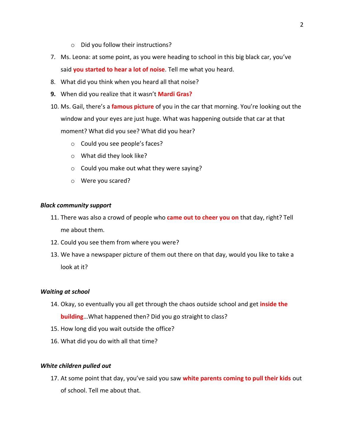- o Did you follow their instructions?
- 7. Ms. Leona: at some point, as you were heading to school in this big black car, you've said **you started to hear a lot of noise**. Tell me what you heard.
- 8. What did you think when you heard all that noise?
- **9.** When did you realize that it wasn't **Mardi Gras?**
- 10. Ms. Gail, there's a **famous picture** of you in the car that morning. You're looking out the window and your eyes are just huge. What was happening outside that car at that moment? What did you see? What did you hear?
	- o Could you see people's faces?
	- o What did they look like?
	- o Could you make out what they were saying?
	- o Were you scared?

## *Black community support*

- 11. There was also a crowd of people who **came out to cheer you on** that day, right? Tell me about them.
- 12. Could you see them from where you were?
- 13. We have a newspaper picture of them out there on that day, would you like to take a look at it?

# *Waiting at school*

- 14. Okay, so eventually you all get through the chaos outside school and get **inside the building**…What happened then? Did you go straight to class?
- 15. How long did you wait outside the office?
- 16. What did you do with all that time?

# *White children pulled out*

17. At some point that day, you've said you saw **white parents coming to pull their kids** out of school. Tell me about that.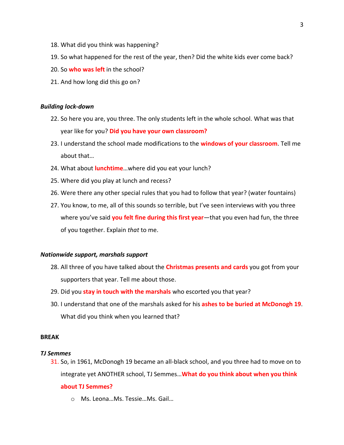- 18. What did you think was happening?
- 19. So what happened for the rest of the year, then? Did the white kids ever come back?
- 20. So **who was left** in the school?
- 21. And how long did this go on?

#### *Building lock-down*

- 22. So here you are, you three. The only students left in the whole school. What was that year like for you? **Did you have your own classroom?**
- 23. I understand the school made modifications to the **windows of your classroom**. Tell me about that…
- 24. What about **lunchtime**…where did you eat your lunch?
- 25. Where did you play at lunch and recess?
- 26. Were there any other special rules that you had to follow that year? (water fountains)
- 27. You know, to me, all of this sounds so terrible, but I've seen interviews with you three where you've said **you felt fine during this first year**—that you even had fun, the three of you together. Explain *that* to me.

#### *Nationwide support, marshals support*

- 28. All three of you have talked about the **Christmas presents and cards** you got from your supporters that year. Tell me about those.
- 29. Did you **stay in touch with the marshals** who escorted you that year?
- 30. I understand that one of the marshals asked for his **ashes to be buried at McDonogh 19**. What did you think when you learned that?

#### **BREAK**

#### *TJ Semmes*

31. So, in 1961, McDonogh 19 became an all-black school, and you three had to move on to integrate yet ANOTHER school, TJ Semmes…**What do you think about when you think** 

# **about TJ Semmes?**

o Ms. Leona…Ms. Tessie…Ms. Gail…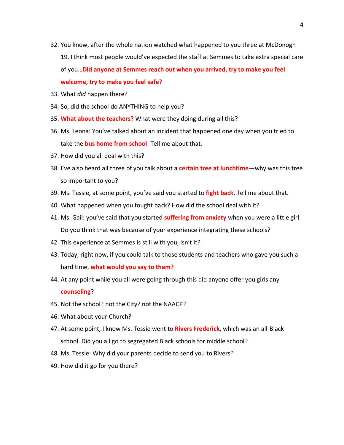- 32. You know, after the whole nation watched what happened to you three at McDonogh 19, I think most people would've expected the staff at Semmes to take extra special care of you…**Did anyone at Semmes reach out when you arrived, try to make you feel welcome, try to make you feel safe?**
- 33. What *did* happen there?
- 34. So, did the school do ANYTHING to help you?
- 35. **What about the teachers?** What were they doing during all this?
- 36. Ms. Leona: You've talked about an incident that happened one day when you tried to take the **bus home from school**. Tell me about that.
- 37. How did you all deal with this?
- 38. I've also heard all three of you talk about a **certain tree at lunchtime**—why was this tree so important to you?
- 39. Ms. Tessie, at some point, you've said you started to **fight back**. Tell me about that.
- 40. What happened when you fought back? How did the school deal with it?
- 41. Ms. Gail: you've said that you started **suffering from anxiety** when you were a little girl. Do you think that was because of your experience integrating these schools?
- 42. This experience at Semmes is still with you, isn't it?
- 43. Today, right now, if you could talk to those students and teachers who gave you such a hard time, **what would you say to them?**
- 44. At any point while you all were going through this did anyone offer you girls any **counseling**?
- 45. Not the school? not the City? not the NAACP?
- 46. What about your Church?
- 47. At some point, I know Ms. Tessie went to **Rivers Frederick**, which was an all-Black school. Did you all go to segregated Black schools for middle school?
- 48. Ms. Tessie: Why did your parents decide to send you to Rivers?
- 49. How did it go for you there?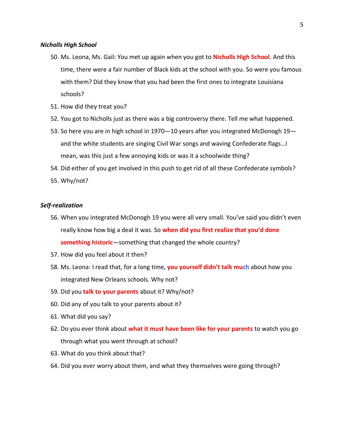#### *Nicholls High School*

- 50. Ms. Leona, Ms. Gail: You met up again when you got to **Nicholls High School**. And this time, there were a fair number of Black kids at the school with you. So were you famous with them? Did they know that you had been the first ones to integrate Louisiana schools?
- 51. How did they treat you?
- 52. You got to Nicholls just as there was a big controversy there. Tell me what happened.
- 53. So here you are in high school in 1970—10 years after you integrated McDonogh 19 and the white students are singing Civil War songs and waving Confederate flags…I mean, was this just a few annoying kids or was it a schoolwide thing?
- 54. Did either of you get involved in this push to get rid of all these Confederate symbols?
- 55. Why/not?

## *Self-realization*

- 56. When you integrated McDonogh 19 you were all very small. You've said you didn't even really know how big a deal it was. So **when did you first realize that you'd done something historic**—something that changed the whole country?
- 57. How did you feel about it then?
- 58. Ms. Leona: I read that, for a long time, **you yourself didn't talk much** about how you integrated New Orleans schools. Why not?
- 59. Did you **talk to your parents** about it? Why/not?
- 60. Did any of you talk to your parents about it?
- 61. What did you say?
- 62. Do you ever think about **what it must have been like for your parents** to watch you go through what you went through at school?
- 63. What do you think about that?
- 64. Did you ever worry about them, and what they themselves were going through?